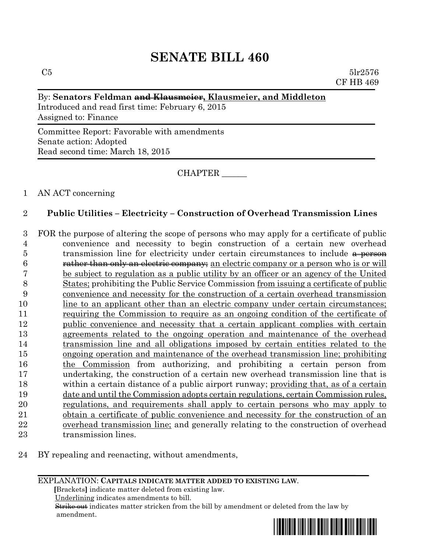#### By: **Senators Feldman and Klausmeier, Klausmeier, and Middleton**

Introduced and read first time: February 6, 2015 Assigned to: Finance

Committee Report: Favorable with amendments Senate action: Adopted Read second time: March 18, 2015

CHAPTER \_\_\_\_\_\_

### 1 AN ACT concerning

# 2 **Public Utilities – Electricity – Construction of Overhead Transmission Lines**

- 3 FOR the purpose of altering the scope of persons who may apply for a certificate of public 4 convenience and necessity to begin construction of a certain new overhead 5 transmission line for electricity under certain circumstances to include a person 6 **rather than only an electric company**; an electric company or a person who is or will 7 be subject to regulation as a public utility by an officer or an agency of the United 8 States; prohibiting the Public Service Commission from issuing a certificate of public 9 convenience and necessity for the construction of a certain overhead transmission 10 line to an applicant other than an electric company under certain circumstances; 11 requiring the Commission to require as an ongoing condition of the certificate of 12 public convenience and necessity that a certain applicant complies with certain 13 agreements related to the ongoing operation and maintenance of the overhead 14 transmission line and all obligations imposed by certain entities related to the 15 ongoing operation and maintenance of the overhead transmission line; prohibiting 16 the Commission from authorizing, and prohibiting a certain person from 17 undertaking, the construction of a certain new overhead transmission line that is 18 within a certain distance of a public airport runway; providing that, as of a certain 19 date and until the Commission adopts certain regulations, certain Commission rules, 20 regulations, and requirements shall apply to certain persons who may apply to 21 obtain a certificate of public convenience and necessity for the construction of an 22 overhead transmission line; and generally relating to the construction of overhead 23 transmission lines.
- 24 BY repealing and reenacting, without amendments,

#### EXPLANATION: **CAPITALS INDICATE MATTER ADDED TO EXISTING LAW**.

 **[**Brackets**]** indicate matter deleted from existing law.

Underlining indicates amendments to bill.

 Strike out indicates matter stricken from the bill by amendment or deleted from the law by amendment.

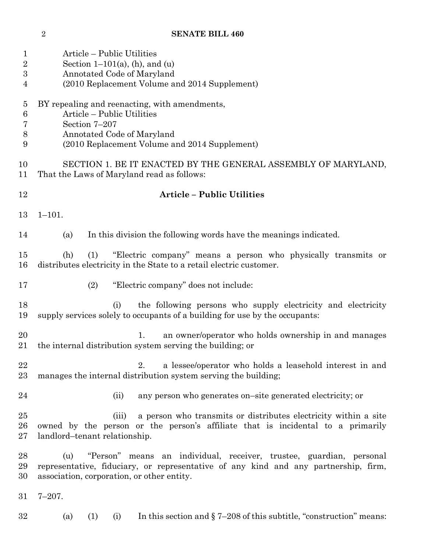| 1<br>$\overline{2}$<br>$\boldsymbol{3}$<br>4 | Article – Public Utilities<br>Section $1-101(a)$ , (h), and (u)<br>Annotated Code of Maryland<br>(2010 Replacement Volume and 2014 Supplement)                                                                  |
|----------------------------------------------|-----------------------------------------------------------------------------------------------------------------------------------------------------------------------------------------------------------------|
| 5<br>6<br>7<br>8<br>9                        | BY repealing and reenacting, with amendments,<br>Article - Public Utilities<br>Section 7-207<br>Annotated Code of Maryland<br>(2010 Replacement Volume and 2014 Supplement)                                     |
| 10<br>11                                     | SECTION 1. BE IT ENACTED BY THE GENERAL ASSEMBLY OF MARYLAND,<br>That the Laws of Maryland read as follows:                                                                                                     |
| 12                                           | <b>Article - Public Utilities</b>                                                                                                                                                                               |
| 13                                           | $1 - 101.$                                                                                                                                                                                                      |
| 14                                           | In this division the following words have the meanings indicated.<br>(a)                                                                                                                                        |
| 15<br>16                                     | "Electric company" means a person who physically transmits or<br>(h)<br>(1)<br>distributes electricity in the State to a retail electric customer.                                                              |
| 17                                           | "Electric company" does not include:<br>(2)                                                                                                                                                                     |
| 18<br>19                                     | the following persons who supply electricity and electricity<br>(i)<br>supply services solely to occupants of a building for use by the occupants:                                                              |
| 20<br>21                                     | an owner/operator who holds ownership in and manages<br>1.<br>the internal distribution system serving the building; or                                                                                         |
| 22<br>23                                     | a lessee/operator who holds a leasehold interest in and<br>2.<br>manages the internal distribution system serving the building;                                                                                 |
| 24                                           | any person who generates on-site generated electricity; or<br>(ii)                                                                                                                                              |
| 25<br>26<br>27                               | a person who transmits or distributes electricity within a site<br>(iii)<br>owned by the person or the person's affiliate that is incidental to a primarily<br>landlord-tenant relationship.                    |
| 28<br>29<br>30                               | "Person" means an individual, receiver, trustee, guardian, personal<br>(u)<br>representative, fiduciary, or representative of any kind and any partnership, firm,<br>association, corporation, or other entity. |
| 31                                           | $7 - 207$ .                                                                                                                                                                                                     |
| 32                                           | In this section and $\S$ 7–208 of this subtitle, "construction" means:<br>(a)<br>(1)<br>(i)                                                                                                                     |

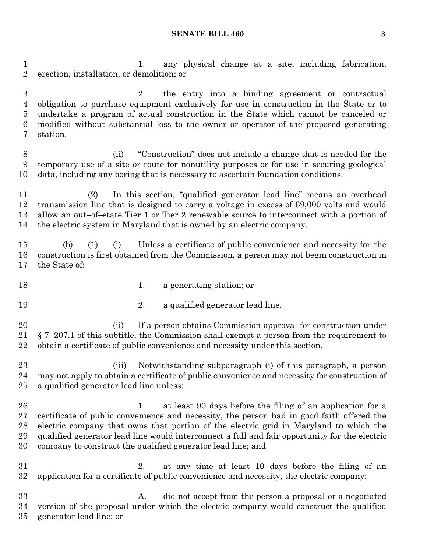#### **SENATE BILL 460** 3

1. any physical change at a site, including fabrication, erection, installation, or demolition; or

 2. the entry into a binding agreement or contractual obligation to purchase equipment exclusively for use in construction in the State or to undertake a program of actual construction in the State which cannot be canceled or modified without substantial loss to the owner or operator of the proposed generating station.

 (ii) "Construction" does not include a change that is needed for the temporary use of a site or route for nonutility purposes or for use in securing geological data, including any boring that is necessary to ascertain foundation conditions.

 (2) In this section, "qualified generator lead line" means an overhead transmission line that is designed to carry a voltage in excess of 69,000 volts and would allow an out–of–state Tier 1 or Tier 2 renewable source to interconnect with a portion of the electric system in Maryland that is owned by an electric company.

 (b) (1) (i) Unless a certificate of public convenience and necessity for the construction is first obtained from the Commission, a person may not begin construction in the State of:

- 18 18 1. a generating station; or
- 
- 2. a qualified generator lead line.

20 (ii) If a person obtains Commission approval for construction under § 7–207.1 of this subtitle, the Commission shall exempt a person from the requirement to obtain a certificate of public convenience and necessity under this section.

 (iii) Notwithstanding subparagraph (i) of this paragraph, a person may not apply to obtain a certificate of public convenience and necessity for construction of a qualified generator lead line unless:

26 1. at least 90 days before the filing of an application for a certificate of public convenience and necessity, the person had in good faith offered the electric company that owns that portion of the electric grid in Maryland to which the qualified generator lead line would interconnect a full and fair opportunity for the electric company to construct the qualified generator lead line; and

 2. at any time at least 10 days before the filing of an application for a certificate of public convenience and necessity, the electric company:

 A. did not accept from the person a proposal or a negotiated version of the proposal under which the electric company would construct the qualified generator lead line; or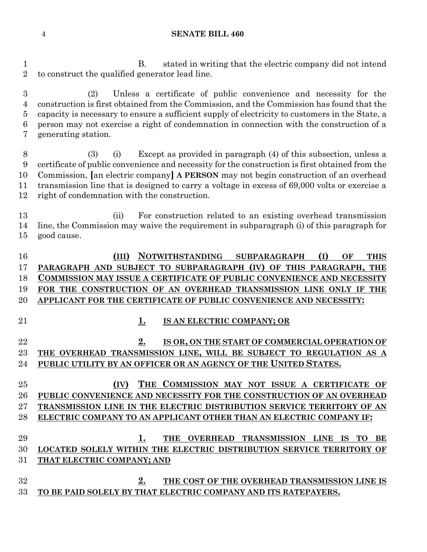B. stated in writing that the electric company did not intend to construct the qualified generator lead line.

 (2) Unless a certificate of public convenience and necessity for the construction is first obtained from the Commission, and the Commission has found that the capacity is necessary to ensure a sufficient supply of electricity to customers in the State, a person may not exercise a right of condemnation in connection with the construction of a generating station.

 (3) (i) Except as provided in paragraph (4) of this subsection, unless a certificate of public convenience and necessity for the construction is first obtained from the Commission, **[**an electric company**] A PERSON** may not begin construction of an overhead transmission line that is designed to carry a voltage in excess of 69,000 volts or exercise a right of condemnation with the construction.

 (ii) For construction related to an existing overhead transmission line, the Commission may waive the requirement in subparagraph (i) of this paragraph for good cause.

 **(III) NOTWITHSTANDING SUBPARAGRAPH (I) OF THIS PARAGRAPH AND SUBJECT TO SUBPARAGRAPH (IV) OF THIS PARAGRAPH, THE COMMISSION MAY ISSUE A CERTIFICATE OF PUBLIC CONVENIENCE AND NECESSITY FOR THE CONSTRUCTION OF AN OVERHEAD TRANSMISSION LINE ONLY IF THE APPLICANT FOR THE CERTIFICATE OF PUBLIC CONVENIENCE AND NECESSITY:**

# **1. IS AN ELECTRIC COMPANY; OR**

 **2. IS OR, ON THE START OF COMMERCIAL OPERATION OF THE OVERHEAD TRANSMISSION LINE, WILL BE SUBJECT TO REGULATION AS A PUBLIC UTILITY BY AN OFFICER OR AN AGENCY OF THE UNITED STATES.**

 **(IV) THE COMMISSION MAY NOT ISSUE A CERTIFICATE OF PUBLIC CONVENIENCE AND NECESSITY FOR THE CONSTRUCTION OF AN OVERHEAD TRANSMISSION LINE IN THE ELECTRIC DISTRIBUTION SERVICE TERRITORY OF AN ELECTRIC COMPANY TO AN APPLICANT OTHER THAN AN ELECTRIC COMPANY IF:**

 **1. THE OVERHEAD TRANSMISSION LINE IS TO BE LOCATED SOLELY WITHIN THE ELECTRIC DISTRIBUTION SERVICE TERRITORY OF THAT ELECTRIC COMPANY; AND**

 **2. THE COST OF THE OVERHEAD TRANSMISSION LINE IS TO BE PAID SOLELY BY THAT ELECTRIC COMPANY AND ITS RATEPAYERS.**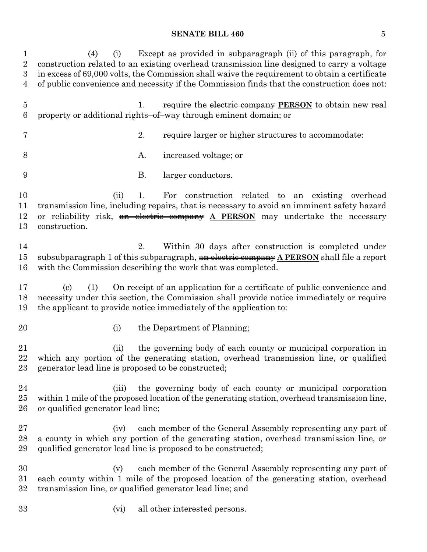#### **SENATE BILL 460** 5

 (4) (i) Except as provided in subparagraph (ii) of this paragraph, for construction related to an existing overhead transmission line designed to carry a voltage in excess of 69,000 volts, the Commission shall waive the requirement to obtain a certificate of public convenience and necessity if the Commission finds that the construction does not: 1. require the electric company **PERSON** to obtain new real property or additional rights–of–way through eminent domain; or 2. require larger or higher structures to accommodate: 8 A. increased voltage; or B. larger conductors. (ii) 1. For construction related to an existing overhead transmission line, including repairs, that is necessary to avoid an imminent safety hazard or reliability risk, an electric company **A PERSON** may undertake the necessary construction. 2. Within 30 days after construction is completed under subsubparagraph 1 of this subparagraph, an electric company **A PERSON** shall file a report with the Commission describing the work that was completed. (c) (1) On receipt of an application for a certificate of public convenience and necessity under this section, the Commission shall provide notice immediately or require the applicant to provide notice immediately of the application to: 20 (i) the Department of Planning; (ii) the governing body of each county or municipal corporation in which any portion of the generating station, overhead transmission line, or qualified generator lead line is proposed to be constructed; (iii) the governing body of each county or municipal corporation within 1 mile of the proposed location of the generating station, overhead transmission line, or qualified generator lead line; (iv) each member of the General Assembly representing any part of a county in which any portion of the generating station, overhead transmission line, or qualified generator lead line is proposed to be constructed; (v) each member of the General Assembly representing any part of each county within 1 mile of the proposed location of the generating station, overhead transmission line, or qualified generator lead line; and (vi) all other interested persons.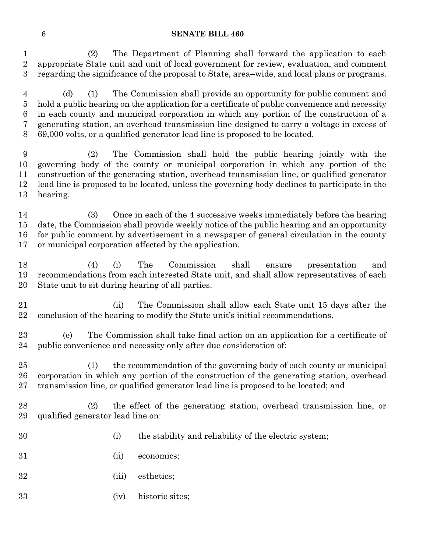(2) The Department of Planning shall forward the application to each appropriate State unit and unit of local government for review, evaluation, and comment regarding the significance of the proposal to State, area–wide, and local plans or programs.

 (d) (1) The Commission shall provide an opportunity for public comment and hold a public hearing on the application for a certificate of public convenience and necessity in each county and municipal corporation in which any portion of the construction of a generating station, an overhead transmission line designed to carry a voltage in excess of 69,000 volts, or a qualified generator lead line is proposed to be located.

 (2) The Commission shall hold the public hearing jointly with the governing body of the county or municipal corporation in which any portion of the construction of the generating station, overhead transmission line, or qualified generator lead line is proposed to be located, unless the governing body declines to participate in the hearing.

 (3) Once in each of the 4 successive weeks immediately before the hearing date, the Commission shall provide weekly notice of the public hearing and an opportunity for public comment by advertisement in a newspaper of general circulation in the county or municipal corporation affected by the application.

 (4) (i) The Commission shall ensure presentation and recommendations from each interested State unit, and shall allow representatives of each State unit to sit during hearing of all parties.

 (ii) The Commission shall allow each State unit 15 days after the conclusion of the hearing to modify the State unit's initial recommendations.

 (e) The Commission shall take final action on an application for a certificate of public convenience and necessity only after due consideration of:

 (1) the recommendation of the governing body of each county or municipal corporation in which any portion of the construction of the generating station, overhead transmission line, or qualified generator lead line is proposed to be located; and

 (2) the effect of the generating station, overhead transmission line, or qualified generator lead line on:

- 
- (i) the stability and reliability of the electric system;
- (ii) economics;
- (iii) esthetics;
- (iv) historic sites;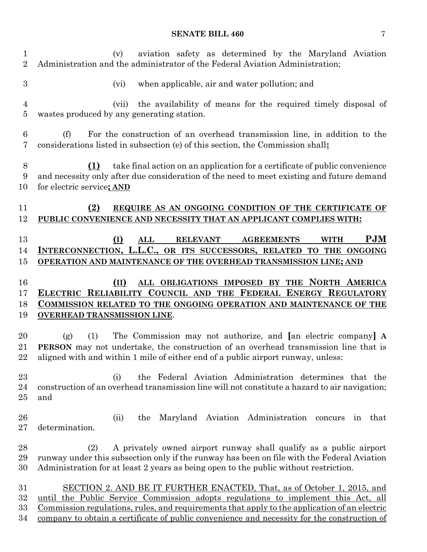# **SENATE BILL 460** 7

| 1<br>$\overline{2}$  | aviation safety as determined by the Maryland Aviation<br>(v)<br>Administration and the administrator of the Federal Aviation Administration;                                                                                                                         |
|----------------------|-----------------------------------------------------------------------------------------------------------------------------------------------------------------------------------------------------------------------------------------------------------------------|
| $\boldsymbol{3}$     | when applicable, air and water pollution; and<br>(vi)                                                                                                                                                                                                                 |
| $\overline{4}$<br>5  | the availability of means for the required timely disposal of<br>(vii)<br>wastes produced by any generating station.                                                                                                                                                  |
| 6<br>7               | For the construction of an overhead transmission line, in addition to the<br>(f)<br>considerations listed in subsection (e) of this section, the Commission shall:                                                                                                    |
| 8<br>9<br>10         | take final action on an application for a certificate of public convenience<br>(1)<br>and necessity only after due consideration of the need to meet existing and future demand<br>for electric service; AND                                                          |
| 11<br>12             | (2)<br>REQUIRE AS AN ONGOING CONDITION OF THE CERTIFICATE OF<br>PUBLIC CONVENIENCE AND NECESSITY THAT AN APPLICANT COMPLIES WITH:                                                                                                                                     |
| 13<br>14<br>15       | <b>PJM</b><br>(I)<br><b>RELEVANT</b><br><b>AGREEMENTS</b><br><b>WITH</b><br>ALL<br>INTERCONNECTION, L.L.C., OR ITS SUCCESSORS, RELATED TO THE ONGOING<br>OPERATION AND MAINTENANCE OF THE OVERHEAD TRANSMISSION LINE; AND                                             |
| 16<br>17<br>18<br>19 | ALL OBLIGATIONS IMPOSED BY THE NORTH AMERICA<br>(II)<br>ELECTRIC RELIABILITY COUNCIL AND THE FEDERAL ENERGY REGULATORY<br><b>COMMISSION RELATED TO THE ONGOING OPERATION AND MAINTENANCE OF THE</b><br><b>OVERHEAD TRANSMISSION LINE.</b>                             |
| 20<br>21<br>22       | The Commission may not authorize, and [an electric company] A<br>(1)<br>(g)<br><b>PERSON</b> may not undertake, the construction of an overhead transmission line that is<br>aligned with and within 1 mile of either end of a public airport runway, unless:         |
| 23<br>24<br>25       | the Federal Aviation Administration determines that the<br>(i)<br>construction of an overhead transmission line will not constitute a hazard to air navigation;<br>and                                                                                                |
| 26<br>27             | the Maryland Aviation Administration concurs<br>(ii)<br>in that<br>determination.                                                                                                                                                                                     |
| 28<br>29<br>30       | (2)<br>A privately owned airport runway shall qualify as a public airport<br>runway under this subsection only if the runway has been on file with the Federal Aviation<br>Administration for at least 2 years as being open to the public without restriction.       |
| 31<br>32<br>33       | SECTION 2. AND BE IT FURTHER ENACTED, That, as of October 1, 2015, and<br>the Public Service Commission adopts regulations to implement this Act, all<br>until<br><u>Commission regulations, rules, and requirements that apply to the application of an electric</u> |